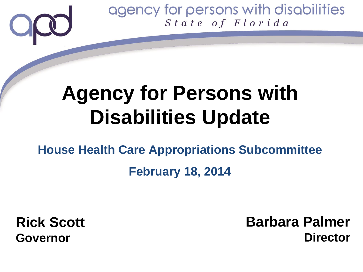# **Agency for Persons with Disabilities Update**

# **House Health Care Appropriations Subcommittee February 18, 2014**

**Rick Scott Governor**

**Barbara Palmer Director**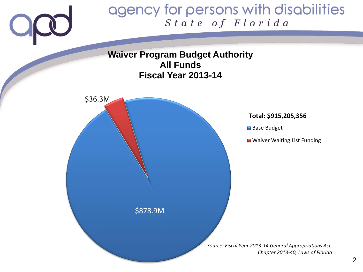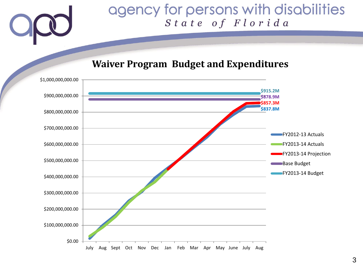#### **Waiver Program Budget and Expenditures**

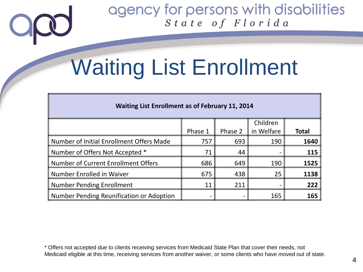# Waiting List Enrollment

| <b>Waiting List Enrollment as of February 11, 2014</b> |         |         |            |              |
|--------------------------------------------------------|---------|---------|------------|--------------|
|                                                        |         |         | Children   |              |
|                                                        | Phase 1 | Phase 2 | in Welfare | <b>Total</b> |
| Number of Initial Enrollment Offers Made               | 757     | 693     | 190        | 1640         |
| Number of Offers Not Accepted *                        | 71      | 44      |            | 115          |
| Number of Current Enrollment Offers                    | 686     | 649     | 190        | 1525         |
| Number Enrolled in Waiver                              | 675     | 438     | 25         | 1138         |
| <b>Number Pending Enrollment</b>                       | 11      | 211     |            | 222          |
| Number Pending Reunification or Adoption               | -       |         | 165        | 165          |

\* Offers not accepted due to clients receiving services from Medicaid State Plan that cover their needs, not Medicaid eligible at this time, receiving services from another waiver, or some clients who have moved out of state.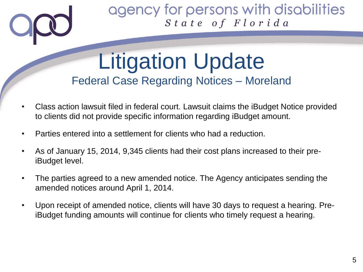## Litigation Update Federal Case Regarding Notices – Moreland

- Class action lawsuit filed in federal court. Lawsuit claims the iBudget Notice provided to clients did not provide specific information regarding iBudget amount.
- Parties entered into a settlement for clients who had a reduction.
- As of January 15, 2014, 9,345 clients had their cost plans increased to their preiBudget level.
- The parties agreed to a new amended notice. The Agency anticipates sending the amended notices around April 1, 2014.
- Upon receipt of amended notice, clients will have 30 days to request a hearing. PreiBudget funding amounts will continue for clients who timely request a hearing.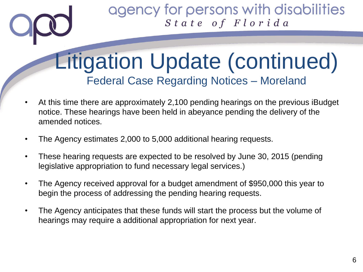# Litigation Update (continued) Federal Case Regarding Notices – Moreland

- At this time there are approximately 2,100 pending hearings on the previous iBudget notice. These hearings have been held in abeyance pending the delivery of the amended notices.
- The Agency estimates 2,000 to 5,000 additional hearing requests.
- These hearing requests are expected to be resolved by June 30, 2015 (pending legislative appropriation to fund necessary legal services.)
- The Agency received approval for a budget amendment of \$950,000 this year to begin the process of addressing the pending hearing requests.
- The Agency anticipates that these funds will start the process but the volume of hearings may require a additional appropriation for next year.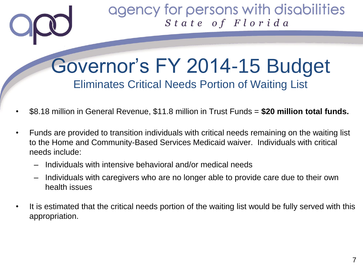## Governor's FY 2014-15 Budget Eliminates Critical Needs Portion of Waiting List

- \$8.18 million in General Revenue, \$11.8 million in Trust Funds = **\$20 million total funds.**
- Funds are provided to transition individuals with critical needs remaining on the waiting list to the Home and Community-Based Services Medicaid waiver. Individuals with critical needs include:
	- Individuals with intensive behavioral and/or medical needs
	- Individuals with caregivers who are no longer able to provide care due to their own health issues
- It is estimated that the critical needs portion of the waiting list would be fully served with this appropriation.